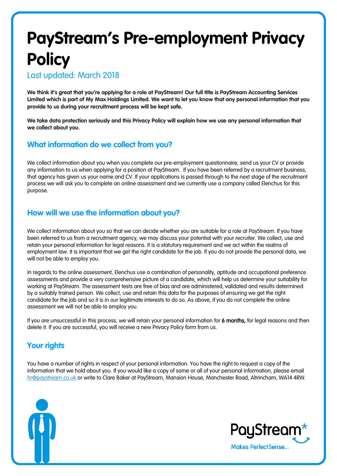# **PayStream's Pre-employment Privacy Policy**

Last updated: March 2018

**We think it's great that you're applying for a role at PayStream! Our full title is PayStream Accounting Services Limited which is part of My Max Holdings Limited. We want to let you know that any personal information that you provide to us during your recruitment process will be kept safe.** 

**We take data protection seriously and this Privacy Policy will explain how we use any personal information that we collect about you.** 

## **What information do we collect from you?**

We collect information about you when you complete our pre-employment questionnaire, send us your CV or provide any information to us when applying for a position at PayStream. If you have been referred by a recruitment business, that agency has given us your name and CV. If your applications is passed through to the next stage of the recruitment process we will ask you to complete an online assessment and we currently use a company called Elenchus for this purpose.

## **How will we use the information about you?**

We collect information about you so that we can decide whether you are suitable for a role at PayStream. If you have been referred to us from a recruitment agency, we may discuss your potential with your recruiter. We collect, use and retain your personal information for legal reasons. It is a statutory requirement and we act within the realms of employment law. It is important that we get the right candidate for the job. If you do not provide the personal data, we will not be able to employ you.

In regards to the online assessment, Elenchus use a combination of personality, aptitude and occupational preference assessments and provide a very comprehensive picture of a candidate, which will help us determine your suitability for working at PayStream. The assessment tests are free of bias and are administered, validated and results determined by a suitably trained person. We collect, use and retain this data for the purposes of ensuring we get the right candidate for the job and so it is in our legitimate interests to do so. As above, if you do not complete the online assessment we will not be able to employ you.

If you are unsuccessful in this process, we will retain your personal information for 6 months, for legal reasons and then delete it. If you are successful, you will receive a new Privacy Policy form from us.

## **Your rights**

You have a number of rights in respect of your personal information. You have the right to request a copy of the information that we hold about you. If you would like a copy of some or all of your personal information, please email [hr@paystream.co.uk](mailto:hr@paystream.co.uk) or write to Clare Baker at PayStream, Mansion House, Manchester Road, Altrincham, WA14 4RW.